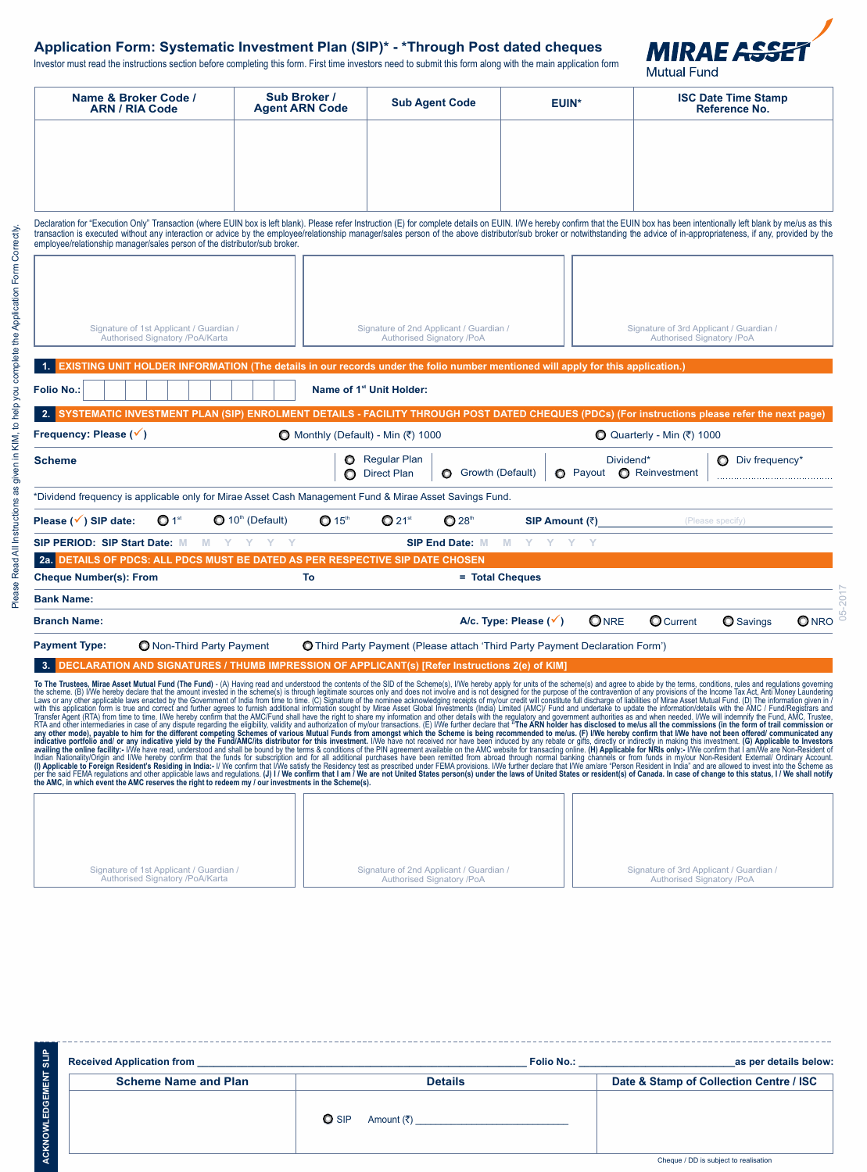# **Application Form: Systematic Investment Plan (SIP)\* - \*Through Post dated cheques**

Investor must read the instructions section before completing this form. First time investors need to submit this form along with the main application form



Signature of 3rd Applicant / Guardian / Authorised Signatory /PoA

| Name & Broker Code /<br><b>ARN / RIA Code</b>                                                                                                                                                                                                                                                                                                                                                                                                                                                                                                                                                                                                                                                                                                                                                                                                                                                                                                                                                                                                                                                                                                                                                                                                                                                                                                                                                                                                                                                                 | Sub Broker /<br><b>Agent ARN Code</b>    | <b>Sub Agent Code</b>                                                               | <b>EUIN*</b>                    |                                              | <b>ISC Date Time Stamp</b><br>Reference No.                          |                  |              |
|---------------------------------------------------------------------------------------------------------------------------------------------------------------------------------------------------------------------------------------------------------------------------------------------------------------------------------------------------------------------------------------------------------------------------------------------------------------------------------------------------------------------------------------------------------------------------------------------------------------------------------------------------------------------------------------------------------------------------------------------------------------------------------------------------------------------------------------------------------------------------------------------------------------------------------------------------------------------------------------------------------------------------------------------------------------------------------------------------------------------------------------------------------------------------------------------------------------------------------------------------------------------------------------------------------------------------------------------------------------------------------------------------------------------------------------------------------------------------------------------------------------|------------------------------------------|-------------------------------------------------------------------------------------|---------------------------------|----------------------------------------------|----------------------------------------------------------------------|------------------|--------------|
|                                                                                                                                                                                                                                                                                                                                                                                                                                                                                                                                                                                                                                                                                                                                                                                                                                                                                                                                                                                                                                                                                                                                                                                                                                                                                                                                                                                                                                                                                                               |                                          |                                                                                     |                                 |                                              |                                                                      |                  |              |
|                                                                                                                                                                                                                                                                                                                                                                                                                                                                                                                                                                                                                                                                                                                                                                                                                                                                                                                                                                                                                                                                                                                                                                                                                                                                                                                                                                                                                                                                                                               |                                          |                                                                                     |                                 |                                              |                                                                      |                  |              |
|                                                                                                                                                                                                                                                                                                                                                                                                                                                                                                                                                                                                                                                                                                                                                                                                                                                                                                                                                                                                                                                                                                                                                                                                                                                                                                                                                                                                                                                                                                               |                                          |                                                                                     |                                 |                                              |                                                                      |                  |              |
| Declaration for "Execution Only" Transaction (where EUIN box is left blank). Please refer Instruction (E) for complete details on EUIN. I/We hereby confirm that the EUIN box has been intentionally left blank by me/us as th<br>transaction is executed without any interaction or advice by the employee/relationship manager/sales person of the above distributor/sub broker or notwithstanding the advice of in-appropriateness, if any, provided by the<br>employee/relationship manager/sales person of the distributor/sub broker.                                                                                                                                                                                                                                                                                                                                                                                                                                                                                                                                                                                                                                                                                                                                                                                                                                                                                                                                                                   |                                          |                                                                                     |                                 |                                              |                                                                      |                  |              |
|                                                                                                                                                                                                                                                                                                                                                                                                                                                                                                                                                                                                                                                                                                                                                                                                                                                                                                                                                                                                                                                                                                                                                                                                                                                                                                                                                                                                                                                                                                               |                                          |                                                                                     |                                 |                                              |                                                                      |                  |              |
| Signature of 1st Applicant / Guardian /<br>Authorised Signatory /PoA/Karta                                                                                                                                                                                                                                                                                                                                                                                                                                                                                                                                                                                                                                                                                                                                                                                                                                                                                                                                                                                                                                                                                                                                                                                                                                                                                                                                                                                                                                    |                                          | Signature of 2nd Applicant / Guardian /<br>Authorised Signatory /PoA                |                                 |                                              | Signature of 3rd Applicant / Guardian /<br>Authorised Signatory /PoA |                  |              |
| 1. EXISTING UNIT HOLDER INFORMATION (The details in our records under the folio number mentioned will apply for this application.)                                                                                                                                                                                                                                                                                                                                                                                                                                                                                                                                                                                                                                                                                                                                                                                                                                                                                                                                                                                                                                                                                                                                                                                                                                                                                                                                                                            |                                          |                                                                                     |                                 |                                              |                                                                      |                  |              |
| <b>Folio No.:</b>                                                                                                                                                                                                                                                                                                                                                                                                                                                                                                                                                                                                                                                                                                                                                                                                                                                                                                                                                                                                                                                                                                                                                                                                                                                                                                                                                                                                                                                                                             |                                          | Name of 1 <sup>st</sup> Unit Holder:                                                |                                 |                                              |                                                                      |                  |              |
| 2. SYSTEMATIC INVESTMENT PLAN (SIP) ENROLMENT DETAILS - FACILITY THROUGH POST DATED CHEQUES (PDCs) (For instructions please refer the next page)                                                                                                                                                                                                                                                                                                                                                                                                                                                                                                                                                                                                                                                                                                                                                                                                                                                                                                                                                                                                                                                                                                                                                                                                                                                                                                                                                              |                                          |                                                                                     |                                 |                                              |                                                                      |                  |              |
| Frequency: Please (√)                                                                                                                                                                                                                                                                                                                                                                                                                                                                                                                                                                                                                                                                                                                                                                                                                                                                                                                                                                                                                                                                                                                                                                                                                                                                                                                                                                                                                                                                                         | ◯ Monthly (Default) - Min $(3)$ 1000     |                                                                                     |                                 |                                              | Q Quarterly - Min (₹) 1000                                           |                  |              |
| <b>Scheme</b>                                                                                                                                                                                                                                                                                                                                                                                                                                                                                                                                                                                                                                                                                                                                                                                                                                                                                                                                                                                                                                                                                                                                                                                                                                                                                                                                                                                                                                                                                                 |                                          | Regular Plan<br>G Growth (Default)<br><b>D</b> Direct Plan                          |                                 | Dividend*<br>Reinvestment<br><b>O</b> Payout |                                                                      | Div frequency*   |              |
| bividend frequency is applicable only for Mirae Asset Cash Management Fund & Mirae Asset Savings Fund'                                                                                                                                                                                                                                                                                                                                                                                                                                                                                                                                                                                                                                                                                                                                                                                                                                                                                                                                                                                                                                                                                                                                                                                                                                                                                                                                                                                                        |                                          |                                                                                     |                                 |                                              |                                                                      |                  |              |
| $\bullet$ 10 <sup>th</sup> (Default)<br>$\mathbf{O} 1^{\text{st}}$<br>Please (√) SIP date:                                                                                                                                                                                                                                                                                                                                                                                                                                                                                                                                                                                                                                                                                                                                                                                                                                                                                                                                                                                                                                                                                                                                                                                                                                                                                                                                                                                                                    | $Q21^{st}$<br>$\mathbf{\mathbb{O}}$ 28th | (Please specify)<br>SIP Amount $(\bar{z})$                                          |                                 |                                              |                                                                      |                  |              |
| <b>SIP PERIOD: SIP Start Date:</b> M M Y Y Y Y Y                                                                                                                                                                                                                                                                                                                                                                                                                                                                                                                                                                                                                                                                                                                                                                                                                                                                                                                                                                                                                                                                                                                                                                                                                                                                                                                                                                                                                                                              |                                          | <b>SIP End Date: M</b>                                                              | M Y Y Y Y                       |                                              |                                                                      |                  |              |
| 2a. DETAILS OF PDCS: ALL PDCS MUST BE DATED AS PER RESPECTIVE SIP DATE CHOSEN                                                                                                                                                                                                                                                                                                                                                                                                                                                                                                                                                                                                                                                                                                                                                                                                                                                                                                                                                                                                                                                                                                                                                                                                                                                                                                                                                                                                                                 |                                          |                                                                                     |                                 |                                              |                                                                      |                  |              |
| <b>Cheque Number(s): From</b>                                                                                                                                                                                                                                                                                                                                                                                                                                                                                                                                                                                                                                                                                                                                                                                                                                                                                                                                                                                                                                                                                                                                                                                                                                                                                                                                                                                                                                                                                 | To                                       |                                                                                     | = Total Cheques                 |                                              |                                                                      |                  |              |
| Bank Name:                                                                                                                                                                                                                                                                                                                                                                                                                                                                                                                                                                                                                                                                                                                                                                                                                                                                                                                                                                                                                                                                                                                                                                                                                                                                                                                                                                                                                                                                                                    |                                          |                                                                                     |                                 |                                              |                                                                      |                  |              |
| <b>Branch Name:</b>                                                                                                                                                                                                                                                                                                                                                                                                                                                                                                                                                                                                                                                                                                                                                                                                                                                                                                                                                                                                                                                                                                                                                                                                                                                                                                                                                                                                                                                                                           |                                          |                                                                                     | A/c. Type: Please $(\check{v})$ | ONRE                                         | <b>O</b> Current                                                     | <b>O</b> Savings | <b>O</b> NRO |
| O Non-Third Party Payment<br><b>Payment Type:</b>                                                                                                                                                                                                                                                                                                                                                                                                                                                                                                                                                                                                                                                                                                                                                                                                                                                                                                                                                                                                                                                                                                                                                                                                                                                                                                                                                                                                                                                             |                                          | <b>O</b> Third Party Payment (Please attach 'Third Party Payment Declaration Form') |                                 |                                              |                                                                      |                  |              |
| 3. DECLARATION AND SIGNATURES / THUMB IMPRESSION OF APPLICANT(s) [Refer Instructions 2(e) of KIM]                                                                                                                                                                                                                                                                                                                                                                                                                                                                                                                                                                                                                                                                                                                                                                                                                                                                                                                                                                                                                                                                                                                                                                                                                                                                                                                                                                                                             |                                          |                                                                                     |                                 |                                              |                                                                      |                  |              |
| To The Trustees, Mirae Asset Mutual Fund (The Fund) - (A) Having read and understood the contents of the SID of the Scheme(s), IWe hereby apply for units of the scheme(s) and agree to abide by the terms, conditions, rules<br>Transfer Agent (RTA) from time to time. I/We hereby confirm that the AMC/I-und shall have the right to share my information and other details with the regulatory and government authorities as and when needed. I/We will ind<br>RTA and other intermediaries in case of any dispute regarding the eligibility, validity and authorization of my/our fransactions. (E) I/We further declare that "The ARN holder has disclosed to me/us all the commissions (in<br>Not only the relation payable to him for the different competing Schemes of various Mutual Funds from amongst which the Scheme is being recommended to melus. (F) JWe hereby confirm that IWe have not been offered) computed<br>(I) Applicable to Foreign Resident's Residing in India:- I/ We confirm that I/We satisfy the Residency test as prescribed under FEMA provisions. I/We further declare that I/We am/are "Person Resident in India" and are allo<br>per the said FEMA requiations and other applicable laws and requiations. (J) I / We confirm that I am / We are not United States person(s) under the laws of United States or resident(s) of Canada. In case of change to this<br>the AMC, in which event the AMC reserves the right to redeem my / our investments in the Scheme(s). |                                          |                                                                                     |                                 |                                              |                                                                      |                  |              |
|                                                                                                                                                                                                                                                                                                                                                                                                                                                                                                                                                                                                                                                                                                                                                                                                                                                                                                                                                                                                                                                                                                                                                                                                                                                                                                                                                                                                                                                                                                               |                                          |                                                                                     |                                 |                                              |                                                                      |                  |              |

\_\_\_\_\_\_\_\_\_\_\_\_\_

Signature of 2nd Applicant / Guardian / Authorised Signatory /PoA

Signature of 1st Applicant / Guardian / Authorised Signatory /PoA/Karta